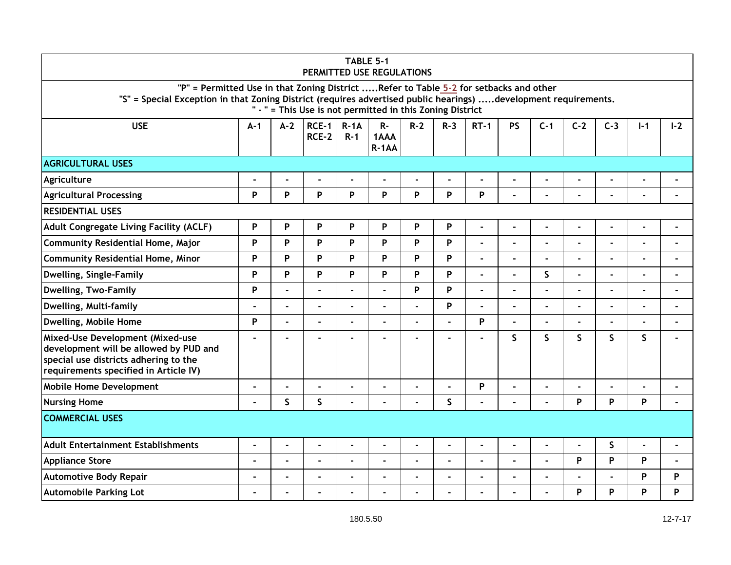|                                                                                                                                                                                                          |                           |                |                         |                     | TABLE 5-1<br>PERMITTED USE REGULATIONS                    |                |         |                |                          |                |                |                |                |       |
|----------------------------------------------------------------------------------------------------------------------------------------------------------------------------------------------------------|---------------------------|----------------|-------------------------|---------------------|-----------------------------------------------------------|----------------|---------|----------------|--------------------------|----------------|----------------|----------------|----------------|-------|
| "P" = Permitted Use in that Zoning District Refer to Table 5-2 for setbacks and other<br>"S" = Special Exception in that Zoning District (requires advertised public hearings) development requirements. |                           |                |                         |                     | " - " = This Use is not permitted in this Zoning District |                |         |                |                          |                |                |                |                |       |
| <b>USE</b>                                                                                                                                                                                               | $A-1$                     | $A-2$          | $RCE-1$<br><b>RCE-2</b> | $R - 1A$<br>$R - 1$ | $R -$<br>1AAA<br>$R-1AA$                                  | $R-2$          | $R - 3$ | $RT-1$         | <b>PS</b>                | $C-1$          | $C-2$          | $C-3$          | $I-1$          | $I-2$ |
| <b>AGRICULTURAL USES</b>                                                                                                                                                                                 |                           |                |                         |                     |                                                           |                |         |                |                          |                |                |                |                |       |
| Agriculture                                                                                                                                                                                              | ÷                         | -              |                         |                     |                                                           |                |         | ×,             | $\blacksquare$           | Ĭ.             |                | $\overline{a}$ |                |       |
| <b>Agricultural Processing</b>                                                                                                                                                                           | P                         | P              | P                       | P                   | P                                                         | P              | P       | P              | $\blacksquare$           | $\blacksquare$ |                |                |                |       |
| <b>RESIDENTIAL USES</b>                                                                                                                                                                                  |                           |                |                         |                     |                                                           |                |         |                |                          |                |                |                |                |       |
| Adult Congregate Living Facility (ACLF)                                                                                                                                                                  | $\boldsymbol{\mathsf{P}}$ | P              | P                       | P                   | P                                                         | P              | P       | $\blacksquare$ | $\blacksquare$           | $\blacksquare$ | $\blacksquare$ | $\blacksquare$ |                |       |
| <b>Community Residential Home, Major</b>                                                                                                                                                                 | P                         | P              | P                       | P                   | P                                                         | P              | P       | $\blacksquare$ | $\overline{a}$           | $\blacksquare$ |                |                |                |       |
| Community Residential Home, Minor                                                                                                                                                                        | $\boldsymbol{\mathsf{P}}$ | P              | P                       | P                   | P                                                         | P              | P       | $\blacksquare$ | $\blacksquare$           | ä,             | ÷              | $\overline{a}$ | $\blacksquare$ |       |
| Dwelling, Single-Family                                                                                                                                                                                  | P                         | P              | P                       | P                   | P                                                         | P              | P       | $\blacksquare$ | $\blacksquare$           | S              | ä,             | ÷              | ä,             |       |
| <b>Dwelling, Two-Family</b>                                                                                                                                                                              | P                         | ÷.             |                         |                     |                                                           | P              | P       | $\blacksquare$ | $\blacksquare$           |                |                |                |                |       |
| Dwelling, Multi-family                                                                                                                                                                                   | ۰                         | ä,             | ä,                      |                     |                                                           |                | P       | ×,             | $\blacksquare$           | $\blacksquare$ |                | ä,             |                |       |
| Dwelling, Mobile Home                                                                                                                                                                                    | P                         | ä,             | $\blacksquare$          |                     | $\overline{a}$                                            |                |         | P              | $\blacksquare$           | ä,             |                | $\blacksquare$ | $\blacksquare$ |       |
| Mixed-Use Development (Mixed-use<br>development will be allowed by PUD and<br>special use districts adhering to the<br>requirements specified in Article IV)                                             | ۰                         |                |                         |                     |                                                           |                |         |                | $\mathsf{S}$             | $\mathsf{S}$   | $\mathsf{S}$   | $\mathsf{S}$   | S.             |       |
| <b>Mobile Home Development</b>                                                                                                                                                                           | ٠                         | ÷              |                         |                     |                                                           |                |         | $\mathsf{P}$   | $\blacksquare$           | $\blacksquare$ |                |                |                |       |
| <b>Nursing Home</b>                                                                                                                                                                                      | $\blacksquare$            | $\mathsf S$    | S                       |                     | $\sim$                                                    | $\overline{a}$ | S       | $\blacksquare$ | $\overline{a}$           | ÷.             | P              | P              | P              |       |
| <b>COMMERCIAL USES</b>                                                                                                                                                                                   |                           |                |                         |                     |                                                           |                |         |                |                          |                |                |                |                |       |
| <b>Adult Entertainment Establishments</b>                                                                                                                                                                | ä,                        | $\blacksquare$ | $\blacksquare$          |                     | $\blacksquare$                                            | $\blacksquare$ |         | $\blacksquare$ | $\blacksquare$           | ÷              | ۰              | $\sf S$        |                |       |
| <b>Appliance Store</b>                                                                                                                                                                                   | $\blacksquare$            | $\blacksquare$ | ÷,                      |                     | $\blacksquare$                                            | $\blacksquare$ |         | $\blacksquare$ | $\overline{\phantom{a}}$ | $\blacksquare$ | P              | P              | P              |       |
| <b>Automotive Body Repair</b>                                                                                                                                                                            | ä,                        | ÷              |                         |                     |                                                           |                |         |                | $\overline{a}$           | ä,             |                |                | P              | P     |
| <b>Automobile Parking Lot</b>                                                                                                                                                                            | -                         |                |                         |                     |                                                           |                |         |                | $\blacksquare$           |                | P              | P              | P              | P     |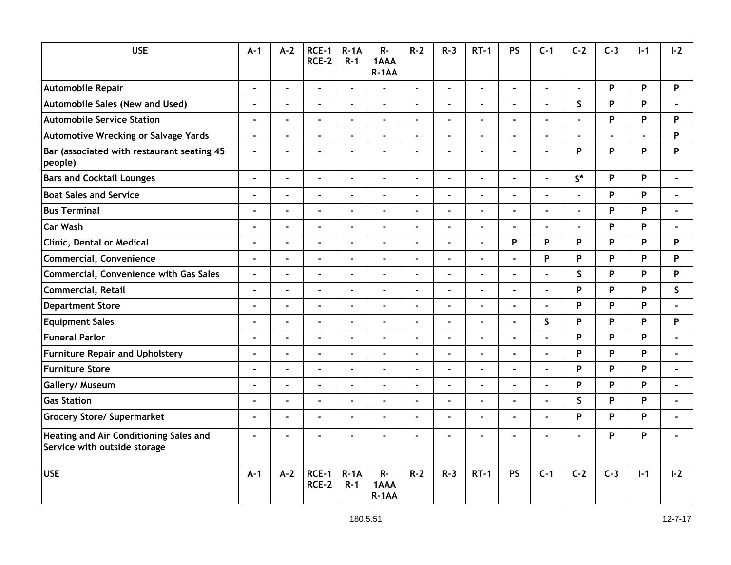| <b>USE</b>                                                             | $A-1$                    | $A - 2$                  | RCE-1<br><b>RCE-2</b> | $R-1A$<br>$R - 1$ | $R -$<br>1AAA<br>$R-1AA$ | $R-2$          | $R - 3$        | $RT-1$         | <b>PS</b>      | $C-1$          | $C-2$          | $C-3$ | $I - 1$ | $I - 2$        |
|------------------------------------------------------------------------|--------------------------|--------------------------|-----------------------|-------------------|--------------------------|----------------|----------------|----------------|----------------|----------------|----------------|-------|---------|----------------|
| Automobile Repair                                                      | $\blacksquare$           | $\blacksquare$           | $\blacksquare$        | $\overline{a}$    | ä,                       | $\blacksquare$ | $\blacksquare$ | $\blacksquare$ | ÷.             | $\blacksquare$ | $\blacksquare$ | P     | P       | P              |
| Automobile Sales (New and Used)                                        | ÷,                       | L.                       | $\blacksquare$        |                   |                          | $\blacksquare$ |                | $\overline{a}$ | $\overline{a}$ | ÷.             | $\mathsf{S}$   | P     | P       |                |
| <b>Automobile Service Station</b>                                      | $\blacksquare$           | ÷.                       | $\blacksquare$        |                   | $\overline{a}$           | $\sim$         | $\blacksquare$ | $\overline{a}$ | $\mathbf{r}$   | L.             | L              | P     | P       | P              |
| <b>Automotive Wrecking or Salvage Yards</b>                            | $\overline{\phantom{a}}$ | ä,                       | $\blacksquare$        |                   | $\blacksquare$           | $\blacksquare$ |                | $\overline{a}$ | $\blacksquare$ | $\blacksquare$ |                |       |         | P              |
| Bar (associated with restaurant seating 45<br>people)                  | $\blacksquare$           | ä,                       | ٠                     |                   |                          |                |                |                | $\blacksquare$ | $\blacksquare$ | P              | P     | P       | P              |
| <b>Bars and Cocktail Lounges</b>                                       | $\blacksquare$           | L.                       | $\overline{a}$        |                   | $\blacksquare$           | $\mathbf{r}$   | $\overline{a}$ | $\overline{a}$ | $\overline{a}$ | ÷.             | $S^*$          | P     | P       |                |
| <b>Boat Sales and Service</b>                                          | $\overline{a}$           | L.                       |                       |                   | $\overline{a}$           |                |                |                | $\overline{a}$ |                |                | P     | P       |                |
| <b>Bus Terminal</b>                                                    | J.                       | ÷,                       | L.                    |                   | L,                       | $\overline{a}$ | $\overline{a}$ | $\overline{a}$ | $\overline{a}$ | $\overline{a}$ | L.             | P     | P       |                |
| Car Wash                                                               |                          | $\blacksquare$           | $\blacksquare$        |                   |                          |                |                |                | $\blacksquare$ | $\blacksquare$ |                | P     | P       |                |
| <b>Clinic, Dental or Medical</b>                                       | $\blacksquare$           | $\blacksquare$           | $\blacksquare$        | $\blacksquare$    | $\blacksquare$           | $\blacksquare$ | $\blacksquare$ | $\blacksquare$ | P              | P              | P              | P     | P       | P              |
| <b>Commercial, Convenience</b>                                         | $\blacksquare$           | ÷,                       | $\blacksquare$        | $\blacksquare$    | $\blacksquare$           | $\blacksquare$ | $\blacksquare$ | $\blacksquare$ | ä,             | P              | P              | P     | P       | P              |
| Commercial, Convenience with Gas Sales                                 | $\blacksquare$           | $\blacksquare$           | L.                    | $\overline{a}$    | $\overline{a}$           | $\blacksquare$ | $\blacksquare$ | ä,             | $\blacksquare$ | $\blacksquare$ | $\mathsf{S}$   | P     | P       | P              |
| <b>Commercial, Retail</b>                                              | $\blacksquare$           | ÷,                       | $\blacksquare$        |                   | $\mathbf{r}$             | $\overline{a}$ |                | $\overline{a}$ | $\overline{a}$ | ÷.             | P              | P     | P       | S              |
| <b>Department Store</b>                                                | $\blacksquare$           | L.                       | L.                    | $\blacksquare$    | $\blacksquare$           | $\overline{a}$ | $\overline{a}$ | $\blacksquare$ | $\blacksquare$ | ÷.             | Þ              | P     | P       |                |
| <b>Equipment Sales</b>                                                 | $\blacksquare$           | $\overline{\phantom{a}}$ | $\blacksquare$        | ä,                | $\overline{a}$           | $\blacksquare$ | $\blacksquare$ | $\blacksquare$ | $\blacksquare$ | $\mathsf S$    | P              | P     | P       | P              |
| <b>Funeral Parlor</b>                                                  | J.                       | L,                       |                       |                   |                          |                |                |                | $\overline{a}$ |                | P              | P     | P       |                |
| <b>Furniture Repair and Upholstery</b>                                 | $\blacksquare$           | $\blacksquare$           | ä,                    |                   | $\overline{a}$           | $\blacksquare$ |                | $\blacksquare$ | $\blacksquare$ | ä,             | P              | P     | P       |                |
| <b>Furniture Store</b>                                                 | -                        | $\blacksquare$           | ä,                    |                   | $\blacksquare$           | $\blacksquare$ |                | $\blacksquare$ | $\blacksquare$ | $\blacksquare$ | P              | P     | P       |                |
| Gallery/ Museum                                                        | $\blacksquare$           | $\blacksquare$           | ÷,                    |                   | $\blacksquare$           | $\blacksquare$ | $\blacksquare$ | $\blacksquare$ | ÷,             | $\blacksquare$ | P              | P     | P       | $\overline{a}$ |
| <b>Gas Station</b>                                                     | ä,                       | L,                       | ä,                    |                   |                          | $\blacksquare$ |                | $\overline{a}$ | $\overline{a}$ | ÷.             | $\mathsf{S}$   | P     | P       |                |
| <b>Grocery Store/ Supermarket</b>                                      | $\blacksquare$           | ÷.                       | ÷.                    |                   | $\overline{a}$           | $\blacksquare$ |                | $\overline{a}$ | $\blacksquare$ | $\overline{a}$ | P              | P     | P       | $\blacksquare$ |
| Heating and Air Conditioning Sales and<br>Service with outside storage | $\blacksquare$           |                          |                       |                   |                          |                |                |                | $\overline{a}$ | $\blacksquare$ |                | P     | P       |                |
| <b>USE</b>                                                             | $A-1$                    | $A-2$                    | RCE-1<br>RCE-2        | $R-1A$<br>$R-1$   | R-<br>1AAA<br>$R-1AA$    | $R - 2$        | $R-3$          | $RT-1$         | <b>PS</b>      | $C-1$          | $C-2$          | $C-3$ | $I-1$   | $I - 2$        |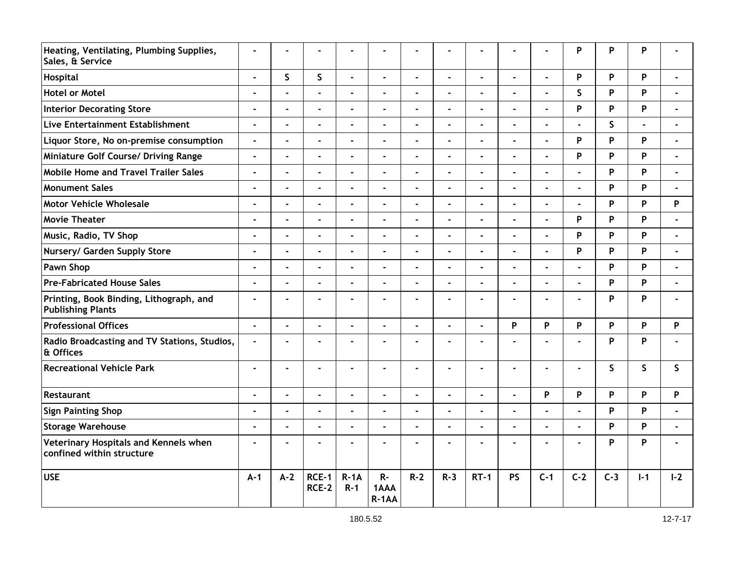| Heating, Ventilating, Plumbing Supplies,<br>Sales, & Service        | $\blacksquare$ | ÷                        |                |                   |                          |                |                |                | ä,             |                | P              | P            | P              |         |
|---------------------------------------------------------------------|----------------|--------------------------|----------------|-------------------|--------------------------|----------------|----------------|----------------|----------------|----------------|----------------|--------------|----------------|---------|
| Hospital                                                            | ÷,             | $\mathsf{S}$             | $\mathsf{S}$   | ä,                | L.                       | $\blacksquare$ | $\blacksquare$ | $\blacksquare$ | ä,             | L.             | P              | P            | P              |         |
| <b>Hotel or Motel</b>                                               | ٠              | L,                       | $\blacksquare$ |                   | $\overline{a}$           | $\blacksquare$ |                | $\blacksquare$ | $\blacksquare$ | ä,             | $\mathsf{S}$   | P            | P              |         |
| <b>Interior Decorating Store</b>                                    | $\blacksquare$ | $\blacksquare$           | ä,             | $\blacksquare$    | $\overline{a}$           | $\blacksquare$ | $\sim$         | $\blacksquare$ | $\blacksquare$ | ä,             | P              | P            | P              |         |
| Live Entertainment Establishment                                    | ÷              | ä,                       | ä,             | Ĭ.                | $\overline{a}$           | $\overline{a}$ | $\blacksquare$ | $\blacksquare$ | $\blacksquare$ | $\blacksquare$ |                | $\mathsf{S}$ | $\blacksquare$ |         |
| Liquor Store, No on-premise consumption                             | $\blacksquare$ | ä,                       | L,             |                   | L,                       | $\blacksquare$ |                | $\blacksquare$ | $\blacksquare$ | ä,             | P              | P            | P              |         |
| Miniature Golf Course/ Driving Range                                | $\blacksquare$ | $\blacksquare$           | $\blacksquare$ | Ĭ.                | $\blacksquare$           | $\blacksquare$ | $\blacksquare$ | $\blacksquare$ | $\blacksquare$ | ä,             | P              | P            | P              |         |
| <b>Mobile Home and Travel Trailer Sales</b>                         | L.             | L,                       |                |                   |                          |                |                | $\overline{a}$ | L,             |                |                | P            | P              |         |
| Monument Sales                                                      | ÷              | $\blacksquare$           | ä,             |                   | $\overline{a}$           | $\blacksquare$ | $\blacksquare$ | ÷              | ÷,             | L.             | ä,             | P            | P              |         |
| <b>Motor Vehicle Wholesale</b>                                      | $\blacksquare$ | ÷                        | ä,             |                   |                          |                |                |                | $\blacksquare$ | $\blacksquare$ |                | P            | P              | P       |
| Movie Theater                                                       | $\blacksquare$ | $\overline{a}$           | ä,             | $\blacksquare$    | $\sim$                   | $\blacksquare$ | $\blacksquare$ | $\blacksquare$ | ä,             | L.             | P              | P            | P              |         |
| Music, Radio, TV Shop                                               | $\blacksquare$ | L,                       | ä,             |                   | $\blacksquare$           | $\blacksquare$ | $\blacksquare$ | $\blacksquare$ | ä,             | ä,             | P              | P            | P              |         |
| Nursery/ Garden Supply Store                                        | $\blacksquare$ | $\overline{\phantom{a}}$ | ä,             | $\blacksquare$    | $\overline{a}$           | $\blacksquare$ | $\blacksquare$ | $\blacksquare$ | $\blacksquare$ | $\blacksquare$ | P              | P            | P              |         |
| Pawn Shop                                                           | ä,             | L,                       | ä,             |                   | $\blacksquare$           | $\blacksquare$ |                | ä,             | L.             | ä,             |                | P            | P              |         |
| <b>Pre-Fabricated House Sales</b>                                   | ä,             | $\blacksquare$           | L.             | $\overline{a}$    | $\blacksquare$           | $\overline{a}$ | $\blacksquare$ | $\blacksquare$ | $\blacksquare$ | L.             | $\blacksquare$ | P            | P              |         |
| Printing, Book Binding, Lithograph, and<br><b>Publishing Plants</b> | $\blacksquare$ | $\blacksquare$           | $\blacksquare$ |                   | $\blacksquare$           | $\overline{a}$ | $\blacksquare$ | $\blacksquare$ | $\blacksquare$ | $\blacksquare$ | $\blacksquare$ | P            | P              |         |
| <b>Professional Offices</b>                                         | ÷,             | $\overline{\phantom{a}}$ | ä,             | $\blacksquare$    | $\overline{a}$           | $\blacksquare$ | $\blacksquare$ | $\overline{a}$ | P              | P              | P              | P            | P              | P       |
| Radio Broadcasting and TV Stations, Studios,<br>& Offices           | $\blacksquare$ | L,                       |                |                   |                          |                |                |                |                |                |                | P            | P              |         |
| <b>Recreational Vehicle Park</b>                                    | $\blacksquare$ | $\blacksquare$           | ä,             | $\blacksquare$    | $\blacksquare$           | $\blacksquare$ | $\blacksquare$ | ×,             | $\blacksquare$ | ä,             | ä,             | $\mathsf{S}$ | S.             | S.      |
| Restaurant                                                          | $\blacksquare$ | $\overline{a}$           | $\blacksquare$ | $\overline{a}$    | $\sim$                   | $\blacksquare$ | $\blacksquare$ | $\blacksquare$ | $\blacksquare$ | P              | P              | P            | P              | P       |
| <b>Sign Painting Shop</b>                                           | ÷              | $\blacksquare$           | ÷,             |                   | $\blacksquare$           | $\blacksquare$ | $\blacksquare$ | $\blacksquare$ | ÷,             | ÷,             |                | P            | P              |         |
| <b>Storage Warehouse</b>                                            | $\blacksquare$ | $\blacksquare$           | ÷              |                   | ä,                       | ÷,             | $\blacksquare$ | $\blacksquare$ | ÷,             | ÷,             | ÷,             | P            | P              |         |
| Veterinary Hospitals and Kennels when<br>confined within structure  | $\blacksquare$ |                          |                |                   |                          |                |                |                |                |                |                | P            | P              |         |
| <b>USE</b>                                                          | $A - 1$        | $A-2$                    | RCE-1<br>RCE-2 | $R-1A$<br>$R - 1$ | $R -$<br>1AAA<br>$R-1AA$ | $R - 2$        | $R - 3$        | $RT-1$         | <b>PS</b>      | $C-1$          | $C-2$          | $C-3$        | $I - 1$        | $I - 2$ |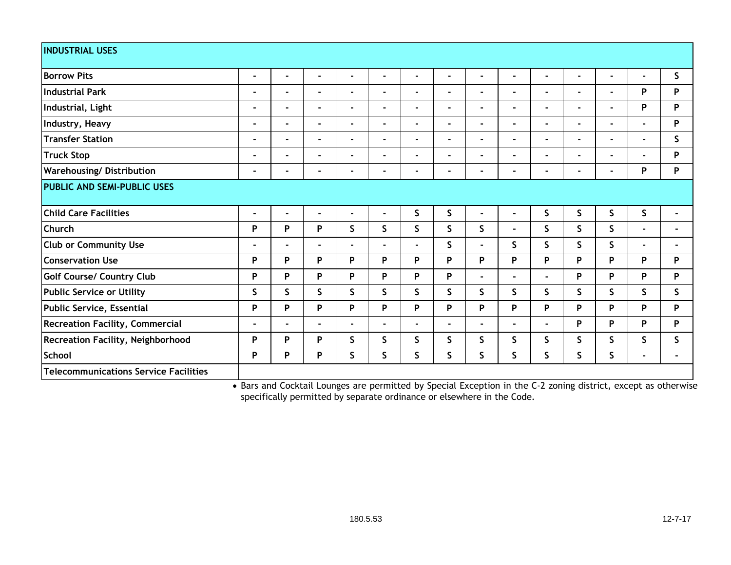| <b>INDUSTRIAL USES</b>                       |                |                                                         |                |                          |                |                |                                    |                |                   |                |                                                          |                |                |                |
|----------------------------------------------|----------------|---------------------------------------------------------|----------------|--------------------------|----------------|----------------|------------------------------------|----------------|-------------------|----------------|----------------------------------------------------------|----------------|----------------|----------------|
| <b>Borrow Pits</b>                           | $\blacksquare$ | $\blacksquare$                                          | $\blacksquare$ | $\blacksquare$           | $\blacksquare$ | $\blacksquare$ | $\blacksquare$                     | $\blacksquare$ | -                 | $\blacksquare$ | $\blacksquare$                                           | $\blacksquare$ | ۰.             | S              |
| Industrial Park                              | $\blacksquare$ | $\blacksquare$                                          | $\blacksquare$ | $\blacksquare$           | $\blacksquare$ | $\blacksquare$ | $\blacksquare$                     | ۰              | ۰                 | $\blacksquare$ | $\blacksquare$                                           | $\blacksquare$ | P              | P              |
| Industrial, Light                            | $\blacksquare$ | $\blacksquare$                                          | $\blacksquare$ | $\overline{\phantom{0}}$ | $\blacksquare$ | $\blacksquare$ | $\blacksquare$                     | $\blacksquare$ | $\blacksquare$    | $\blacksquare$ | $\blacksquare$                                           | $\blacksquare$ | P              | P              |
| Industry, Heavy                              | $\blacksquare$ | $\blacksquare$                                          | $\blacksquare$ | $\blacksquare$           | $\blacksquare$ | $\blacksquare$ | $\blacksquare$                     | $\blacksquare$ | $\blacksquare$    | $\blacksquare$ | $\blacksquare$                                           | $\blacksquare$ | $\blacksquare$ | P              |
| Transfer Station                             | $\blacksquare$ | $\blacksquare$                                          | $\blacksquare$ | $\blacksquare$           | $\blacksquare$ | $\blacksquare$ |                                    | $\blacksquare$ | $\blacksquare$    | $\blacksquare$ | $\blacksquare$                                           | $\blacksquare$ | $\blacksquare$ | $\mathsf{S}$   |
| <b>Truck Stop</b>                            | $\blacksquare$ | $\blacksquare$                                          | Ξ.             | $\blacksquare$           | $\blacksquare$ | $\blacksquare$ |                                    | ۰              | $\blacksquare$    | $\blacksquare$ | $\blacksquare$                                           | $\blacksquare$ | ٠              | P              |
| <b>Warehousing/Distribution</b>              | $\blacksquare$ | $\blacksquare$                                          | $\blacksquare$ | ٠                        | $\blacksquare$ | $\blacksquare$ |                                    | $\blacksquare$ | $\blacksquare$    | $\blacksquare$ | $\blacksquare$                                           | $\blacksquare$ | P              | P              |
| <b>PUBLIC AND SEMI-PUBLIC USES</b>           |                |                                                         |                |                          |                |                |                                    |                |                   |                |                                                          |                |                |                |
| <b>Child Care Facilities</b>                 | $\blacksquare$ | $\blacksquare$                                          | $\blacksquare$ | $\blacksquare$           | $\blacksquare$ | S              | $\mathsf{S}$                       | $\blacksquare$ | $\blacksquare$    | S              | S                                                        | $\mathsf{S}$   | $\mathsf{S}$   | $\blacksquare$ |
| Church                                       | P              | P                                                       | P              | S                        | S.             | S              | S.                                 | $\mathsf{S}$   | $\blacksquare$    | S.             | S.                                                       | $\mathsf{S}$   | ٠              | $\blacksquare$ |
| <b>Club or Community Use</b>                 | $\blacksquare$ | $\blacksquare$                                          | $\blacksquare$ | $\blacksquare$           | $\blacksquare$ | $\blacksquare$ | S.                                 | $\blacksquare$ | S.                | S              | S                                                        | S              | $\blacksquare$ | $\blacksquare$ |
| <b>Conservation Use</b>                      | P              | P                                                       | P              | P                        | P              | P              | P                                  | P              | P                 | P              | P                                                        | P              | P              | P              |
| Golf Course/ Country Club                    | P              | P                                                       | P              | P                        | P              | P              | P                                  | $\blacksquare$ | $\blacksquare$    | $\blacksquare$ | P                                                        | P              | P              | P              |
| <b>Public Service or Utility</b>             | S              | $\mathsf S$                                             | S              | $\mathsf{S}$             | S              | S              | S                                  | $\mathsf S$    | S                 | S              | S                                                        | S              | S              | S              |
| <b>Public Service, Essential</b>             | P              | P                                                       | P              | P                        | P              | P              | P                                  | P              | P                 | P              | P                                                        | P              | P              | P              |
| <b>Recreation Facility, Commercial</b>       | $\blacksquare$ | $\blacksquare$                                          | ٠              | $\blacksquare$           | $\blacksquare$ | $\blacksquare$ | $\blacksquare$                     | $\blacksquare$ | $\blacksquare$    | $\blacksquare$ | P                                                        | P              | P              | P              |
| Recreation Facility, Neighborhood            | P              | P                                                       | P              | $\mathsf{S}$             | S.             | S              | S.                                 | $\mathsf{S}$   | S                 | S.             | S                                                        | $\mathsf{S}$   | S.             | $\mathsf{S}$   |
| School                                       | P              | P                                                       | P              | $\mathsf{S}$             | S              | S.             | $\mathsf{S}$                       | S              | S                 | S              | S                                                        | S              | ٠              | $\blacksquare$ |
| <b>Telecommunications Service Facilities</b> |                | $\mathbf{r}$ . $\mathbf{r}$ . The state of $\mathbf{r}$ |                |                          |                |                | $\cdots$ and $\cdots$ and $\cdots$ |                | $\cdots$ $\cdots$ |                | $\sim$<br>$\mathbf{r}$ and $\mathbf{r}$ and $\mathbf{r}$ |                |                |                |

• Bars and Cocktail Lounges are permitted by Special Exception in the C-2 zoning district, except as otherwise specifically permitted by separate ordinance or elsewhere in the Code.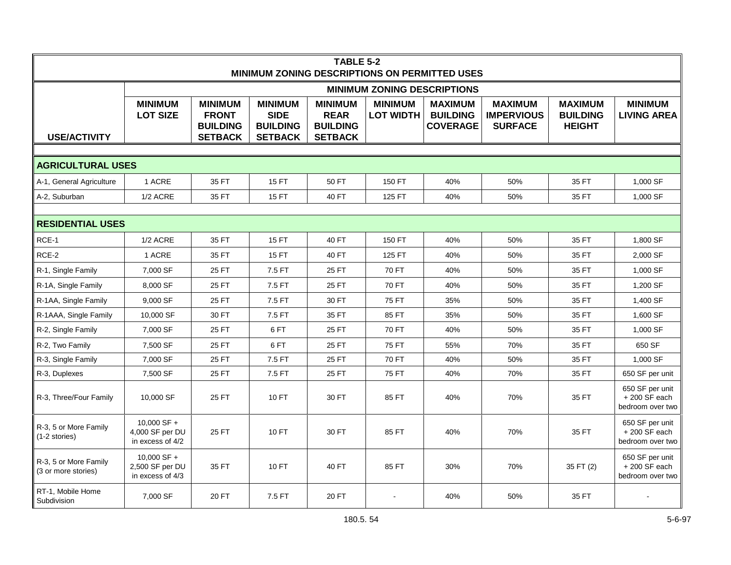| TABLE 5-2<br>MINIMUM ZONING DESCRIPTIONS ON PERMITTED USES |                                                    |                                                                     |                                                                    |                                                                    |                                    |                                                      |                                                       |                                                    |                                                       |  |  |
|------------------------------------------------------------|----------------------------------------------------|---------------------------------------------------------------------|--------------------------------------------------------------------|--------------------------------------------------------------------|------------------------------------|------------------------------------------------------|-------------------------------------------------------|----------------------------------------------------|-------------------------------------------------------|--|--|
|                                                            |                                                    |                                                                     |                                                                    |                                                                    | <b>MINIMUM ZONING DESCRIPTIONS</b> |                                                      |                                                       |                                                    |                                                       |  |  |
| <b>USE/ACTIVITY</b>                                        | <b>MINIMUM</b><br><b>LOT SIZE</b>                  | <b>MINIMUM</b><br><b>FRONT</b><br><b>BUILDING</b><br><b>SETBACK</b> | <b>MINIMUM</b><br><b>SIDE</b><br><b>BUILDING</b><br><b>SETBACK</b> | <b>MINIMUM</b><br><b>REAR</b><br><b>BUILDING</b><br><b>SETBACK</b> | <b>MINIMUM</b><br><b>LOT WIDTH</b> | <b>MAXIMUM</b><br><b>BUILDING</b><br><b>COVERAGE</b> | <b>MAXIMUM</b><br><b>IMPERVIOUS</b><br><b>SURFACE</b> | <b>MAXIMUM</b><br><b>BUILDING</b><br><b>HEIGHT</b> | <b>MINIMUM</b><br><b>LIVING AREA</b>                  |  |  |
|                                                            |                                                    |                                                                     |                                                                    |                                                                    |                                    |                                                      |                                                       |                                                    |                                                       |  |  |
| <b>AGRICULTURAL USES</b>                                   |                                                    |                                                                     |                                                                    |                                                                    |                                    |                                                      |                                                       |                                                    |                                                       |  |  |
| A-1, General Agriculture                                   | 1 ACRE                                             | 35 FT                                                               | <b>15 FT</b>                                                       | 50 FT                                                              | 150 FT                             | 40%                                                  | 50%                                                   | 35 FT                                              | 1,000 SF                                              |  |  |
| A-2, Suburban                                              | 1/2 ACRE                                           | 35 FT                                                               | 15 FT                                                              | 40 FT                                                              | 125 FT                             | 40%                                                  | 50%                                                   | 35 FT                                              | 1,000 SF                                              |  |  |
|                                                            |                                                    |                                                                     |                                                                    |                                                                    |                                    |                                                      |                                                       |                                                    |                                                       |  |  |
| <b>RESIDENTIAL USES</b>                                    |                                                    |                                                                     |                                                                    |                                                                    |                                    |                                                      |                                                       |                                                    |                                                       |  |  |
| RCE-1                                                      | $1/2$ ACRE                                         | 35 FT                                                               | <b>15 FT</b>                                                       | 40 FT                                                              | 150 FT                             | 40%                                                  | 50%                                                   | 35 FT                                              | 1,800 SF                                              |  |  |
| RCE-2                                                      | 1 ACRE                                             | 35 FT                                                               | 15 FT                                                              | 40 FT                                                              | 125 FT                             | 40%                                                  | 50%                                                   | 35 FT                                              | 2,000 SF                                              |  |  |
| R-1, Single Family                                         | 7,000 SF                                           | 25 FT                                                               | 7.5 FT                                                             | 25 FT                                                              | 70 FT                              | 40%                                                  | 50%                                                   | 35 FT                                              | 1,000 SF                                              |  |  |
| R-1A, Single Family                                        | 8,000 SF                                           | 25 FT                                                               | 7.5 FT                                                             | 25 FT                                                              | 70 FT                              | 40%                                                  | 50%                                                   | 35 FT                                              | 1,200 SF                                              |  |  |
| R-1AA, Single Family                                       | 9,000 SF                                           | 25 FT                                                               | 7.5 FT                                                             | 30 FT                                                              | 75 FT                              | 35%                                                  | 50%                                                   | 35 FT                                              | 1,400 SF                                              |  |  |
| R-1AAA, Single Family                                      | 10,000 SF                                          | 30 FT                                                               | 7.5 FT                                                             | 35 FT                                                              | 85 FT                              | 35%                                                  | 50%                                                   | 35 FT                                              | 1,600 SF                                              |  |  |
| R-2, Single Family                                         | 7,000 SF                                           | 25 FT                                                               | 6FT                                                                | 25 FT                                                              | 70 FT                              | 40%                                                  | 50%                                                   | 35 FT                                              | 1,000 SF                                              |  |  |
| R-2, Two Family                                            | 7,500 SF                                           | 25 FT                                                               | 6FT                                                                | 25 FT                                                              | <b>75 FT</b>                       | 55%                                                  | 70%                                                   | 35 FT                                              | 650 SF                                                |  |  |
| R-3, Single Family                                         | 7,000 SF                                           | 25 FT                                                               | 7.5 FT                                                             | 25 FT                                                              | 70 FT                              | 40%                                                  | 50%                                                   | 35 FT                                              | 1,000 SF                                              |  |  |
| R-3, Duplexes                                              | 7,500 SF                                           | 25 FT                                                               | 7.5 FT                                                             | 25 FT                                                              | 75 FT                              | 40%                                                  | 70%                                                   | 35 FT                                              | 650 SF per unit                                       |  |  |
| R-3, Three/Four Family                                     | 10,000 SF                                          | 25 FT                                                               | 10 FT                                                              | 30 FT                                                              | 85 FT                              | 40%                                                  | 70%                                                   | 35 FT                                              | 650 SF per unit<br>$+200$ SF each<br>bedroom over two |  |  |
| R-3, 5 or More Family<br>$(1-2)$ stories)                  | 10.000 SF +<br>4,000 SF per DU<br>in excess of 4/2 | 25 FT                                                               | 10 FT                                                              | 30 FT                                                              | 85 FT                              | 40%                                                  | 70%                                                   | 35 FT                                              | 650 SF per unit<br>$+200$ SF each<br>bedroom over two |  |  |
| R-3, 5 or More Family<br>(3 or more stories)               | 10.000 SF +<br>2,500 SF per DU<br>in excess of 4/3 | 35 FT                                                               | 10 FT                                                              | 40 FT                                                              | 85 FT                              | 30%                                                  | 70%                                                   | 35 FT (2)                                          | 650 SF per unit<br>$+200$ SF each<br>bedroom over two |  |  |
| RT-1, Mobile Home<br>Subdivision                           | 7,000 SF                                           | 20 FT                                                               | 7.5 FT                                                             | 20 FT                                                              |                                    | 40%                                                  | 50%                                                   | 35 FT                                              |                                                       |  |  |